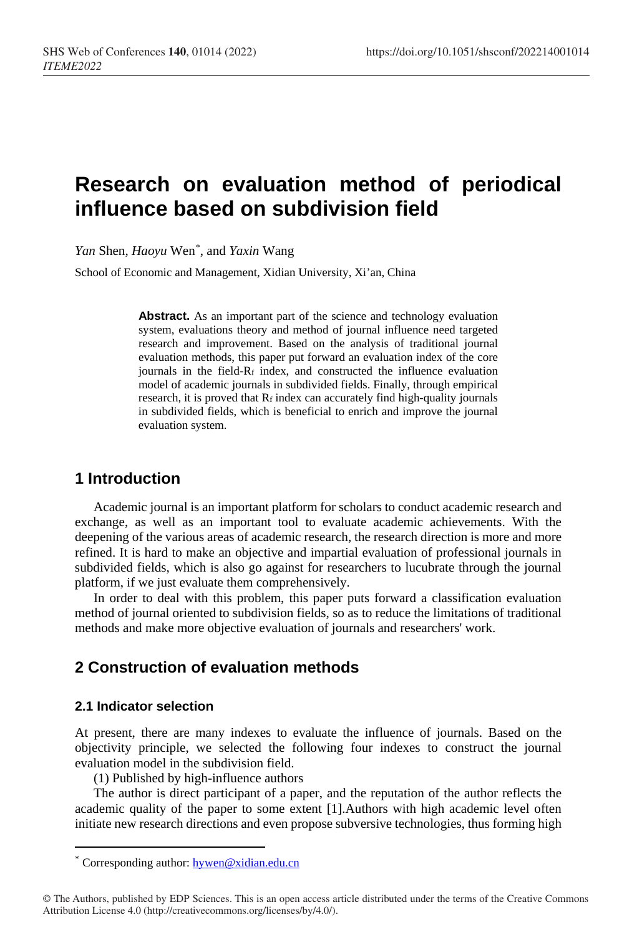# **Research on evaluation method of periodical influence based on subdivision field**

*Yan* Shen, *Haoyu* Wen[\\*](#page-0-0) , and *Yaxin* Wang

School of Economic and Management, Xidian University, Xi'an, China

Abstract. As an important part of the science and technology evaluation system, evaluations theory and method of journal influence need targeted research and improvement. Based on the analysis of traditional journal evaluation methods, this paper put forward an evaluation index of the core journals in the field-Rf index, and constructed the influence evaluation model of academic journals in subdivided fields. Finally, through empirical research, it is proved that  $R_f$  index can accurately find high-quality journals in subdivided fields, which is beneficial to enrich and improve the journal evaluation system.

### **1 Introduction**

Academic journal is an important platform for scholars to conduct academic research and exchange, as well as an important tool to evaluate academic achievements. With the deepening of the various areas of academic research, the research direction is more and more refined. It is hard to make an objective and impartial evaluation of professional journals in subdivided fields, which is also go against for researchers to lucubrate through the journal platform, if we just evaluate them comprehensively.

In order to deal with this problem, this paper puts forward a classification evaluation method of journal oriented to subdivision fields, so as to reduce the limitations of traditional methods and make more objective evaluation of journals and researchers' work.

# **2 Construction of evaluation methods**

#### **2.1 Indicator selection**

 $\overline{a}$ 

At present, there are many indexes to evaluate the influence of journals. Based on the objectivity principle, we selected the following four indexes to construct the journal evaluation model in the subdivision field.

(1) Published by high-influence authors

The author is direct participant of a paper, and the reputation of the author reflects the academic quality of the paper to some extent [1].Authors with high academic level often initiate new research directions and even propose subversive technologies, thus forming high

Corresponding author: [hywen@xidian.edu.cn](mailto:hywen@xidian.edu.cn)

<span id="page-0-0"></span><sup>©</sup> The Authors, published by EDP Sciences. This is an open access article distributed under the terms of the Creative Commons Attribution License 4.0 (http://creativecommons.org/licenses/by/4.0/).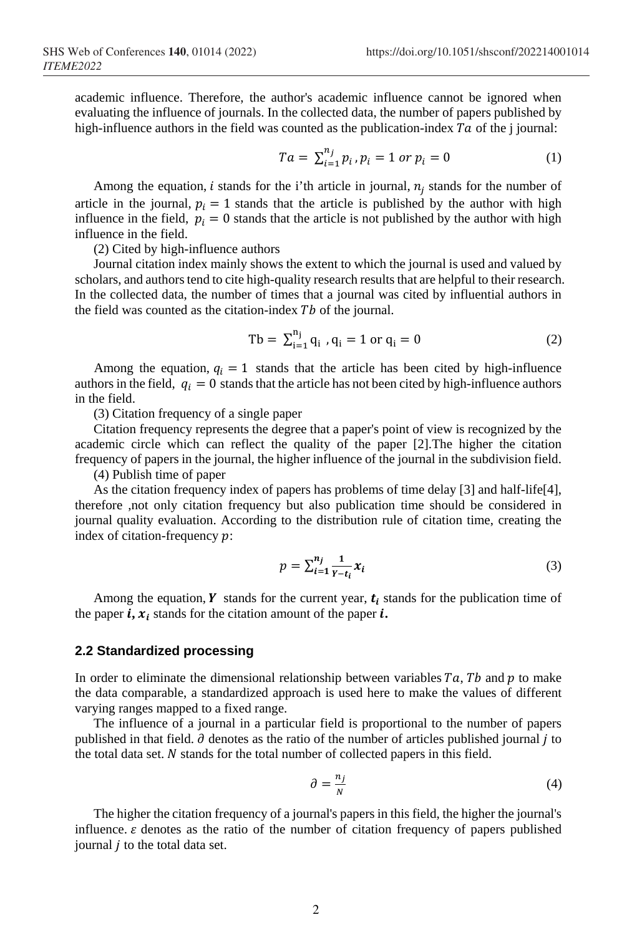academic influence. Therefore, the author's academic influence cannot be ignored when evaluating the influence of journals. In the collected data, the number of papers published by high-influence authors in the field was counted as the publication-index  $Ta$  of the j journal:

$$
Ta = \sum_{i=1}^{n_j} p_i, p_i = 1 \text{ or } p_i = 0 \tag{1}
$$

Among the equation, *i* stands for the i'th article in journal,  $n_i$  stands for the number of article in the journal,  $p_i = 1$  stands that the article is published by the author with high influence in the field,  $p_i = 0$  stands that the article is not published by the author with high influence in the field.

(2) Cited by high-influence authors

Journal citation index mainly shows the extent to which the journal is used and valued by scholars, and authors tend to cite high-quality research results that are helpful to their research. In the collected data, the number of times that a journal was cited by influential authors in the field was counted as the citation-index  $Tb$  of the journal.

$$
Tb = \sum_{i=1}^{n_j} q_i, q_i = 1 \text{ or } q_i = 0
$$
 (2)

Among the equation,  $q_i = 1$  stands that the article has been cited by high-influence authors in the field,  $q_i = 0$  stands that the article has not been cited by high-influence authors in the field.

(3) Citation frequency of a single paper

Citation frequency represents the degree that a paper's point of view is recognized by the academic circle which can reflect the quality of the paper [2].The higher the citation frequency of papers in the journal, the higher influence of the journal in the subdivision field.

(4) Publish time of paper

As the citation frequency index of papers has problems of time delay [3] and half-life[4], therefore ,not only citation frequency but also publication time should be considered in journal quality evaluation. According to the distribution rule of citation time, creating the index of citation-frequency  $p$ :

$$
p = \sum_{i=1}^{n_j} \frac{1}{Y - t_i} x_i
$$
 (3)

Among the equation,  $\boldsymbol{Y}$  stands for the current year,  $\boldsymbol{t}_i$  stands for the publication time of the paper  $\boldsymbol{i}, \boldsymbol{x}_i$  stands for the citation amount of the paper  $\boldsymbol{i}$ .

#### **2.2 Standardized processing**

In order to eliminate the dimensional relationship between variables  $Ta$ ,  $Tb$  and  $p$  to make the data comparable, a standardized approach is used here to make the values of different varying ranges mapped to a fixed range.

The influence of a journal in a particular field is proportional to the number of papers published in that field.  $\partial$  denotes as the ratio of the number of articles published journal *j* to the total data set.  $N$  stands for the total number of collected papers in this field.

$$
\partial = \frac{n_j}{N} \tag{4}
$$

The higher the citation frequency of a journal's papers in this field, the higher the journal's influence.  $\varepsilon$  denotes as the ratio of the number of citation frequency of papers published journal  $i$  to the total data set.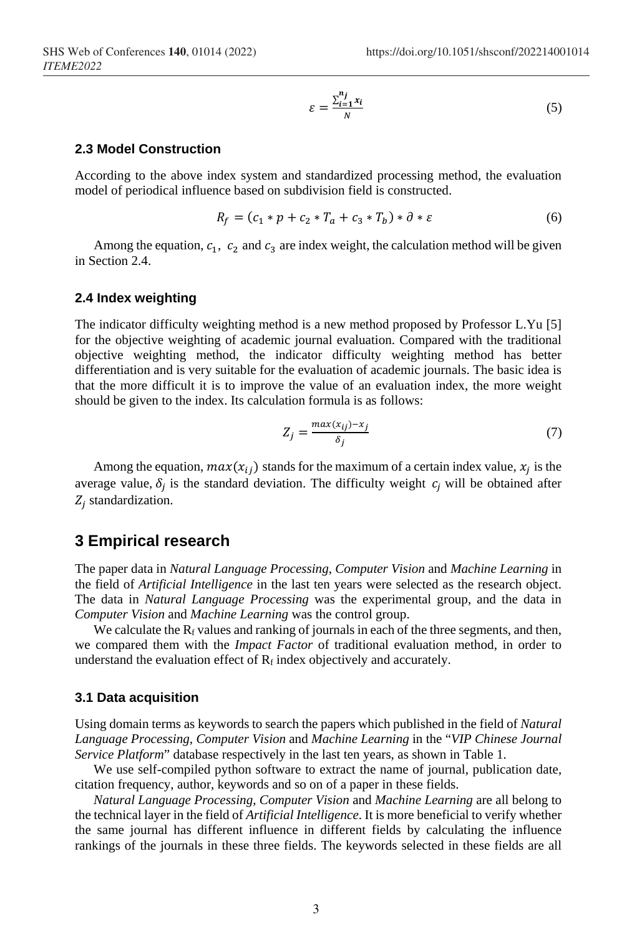$$
\varepsilon = \frac{\sum_{i=1}^{n_j} x_i}{N} \tag{5}
$$

#### **2.3 Model Construction**

According to the above index system and standardized processing method, the evaluation model of periodical influence based on subdivision field is constructed.

$$
R_f = (c_1 * p + c_2 * T_a + c_3 * T_b) * \partial * \varepsilon
$$
 (6)

Among the equation,  $c_1$ ,  $c_2$  and  $c_3$  are index weight, the calculation method will be given in Section 2.4.

#### **2.4 Index weighting**

The indicator difficulty weighting method is a new method proposed by Professor L.Yu [5] for the objective weighting of academic journal evaluation. Compared with the traditional objective weighting method, the indicator difficulty weighting method has better differentiation and is very suitable for the evaluation of academic journals. The basic idea is that the more difficult it is to improve the value of an evaluation index, the more weight should be given to the index. Its calculation formula is as follows:

$$
Z_j = \frac{\max(x_{ij}) - x_j}{\delta_j} \tag{7}
$$

Among the equation,  $max(x_{ij})$  stands for the maximum of a certain index value,  $x_i$  is the average value,  $\delta_i$  is the standard deviation. The difficulty weight  $c_i$  will be obtained after  $Z_i$  standardization.

#### **3 Empirical research**

The paper data in *Natural Language Processing*, *Computer Vision* and *Machine Learning* in the field of *Artificial Intelligence* in the last ten years were selected as the research object. The data in *Natural Language Processing* was the experimental group, and the data in *Computer Vision* and *Machine Learning* was the control group.

We calculate the  $R_f$  values and ranking of journals in each of the three segments, and then, we compared them with the *Impact Factor* of traditional evaluation method, in order to understand the evaluation effect of  $R_f$  index objectively and accurately.

#### **3.1 Data acquisition**

Using domain terms as keywords to search the papers which published in the field of *Natural Language Processing*, *Computer Vision* and *Machine Learning* in the "*VIP Chinese Journal Service Platform*" database respectively in the last ten years, as shown in Table 1.

We use self-compiled python software to extract the name of journal, publication date, citation frequency, author, keywords and so on of a paper in these fields.

*Natural Language Processing*, *Computer Vision* and *Machine Learning* are all belong to the technical layer in the field of *Artificial Intelligence*. It is more beneficial to verify whether the same journal has different influence in different fields by calculating the influence rankings of the journals in these three fields. The keywords selected in these fields are all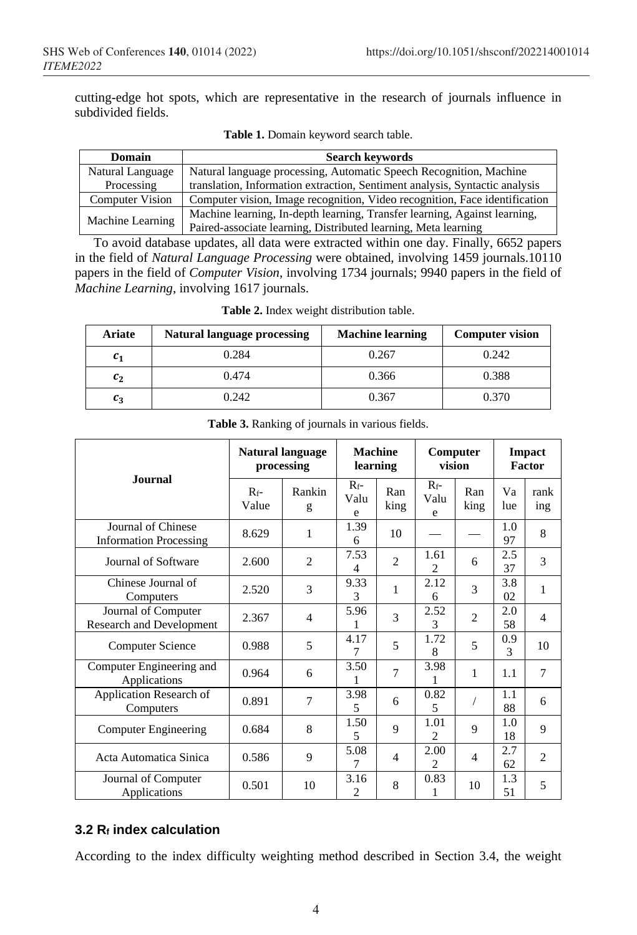cutting-edge hot spots, which are representative in the research of journals influence in subdivided fields.

| <b>Domain</b>          | <b>Search keywords</b>                                                      |  |  |  |  |
|------------------------|-----------------------------------------------------------------------------|--|--|--|--|
| Natural Language       | Natural language processing, Automatic Speech Recognition, Machine          |  |  |  |  |
| Processing             | translation, Information extraction, Sentiment analysis, Syntactic analysis |  |  |  |  |
| <b>Computer Vision</b> | Computer vision, Image recognition, Video recognition, Face identification  |  |  |  |  |
| Machine Learning       | Machine learning, In-depth learning, Transfer learning, Against learning,   |  |  |  |  |
|                        | Paired-associate learning, Distributed learning, Meta learning              |  |  |  |  |

**Table 1.** Domain keyword search table.

To avoid database updates, all data were extracted within one day. Finally, 6652 papers in the field of *Natural Language Processing* were obtained, involving 1459 journals.10110 papers in the field of *Computer Vision*, involving 1734 journals; 9940 papers in the field of *Machine Learning*, involving 1617 journals.

| <b>Ariate</b>      | <b>Natural language processing</b> | <b>Machine learning</b> | <b>Computer vision</b> |  |  |
|--------------------|------------------------------------|-------------------------|------------------------|--|--|
| $\boldsymbol{c_1}$ | 0.284                              | 0.267                   | 0.242                  |  |  |
| $c_{2}$            | 0.474                              | 0.366                   | 0.388                  |  |  |
| $c_{3}$            | 0.242                              | 0.367                   | 0.370                  |  |  |

**Table 2.** Index weight distribution table.

|                                                        | <b>Natural language</b><br>processing |                          | <b>Machine</b><br>learning |                | Computer<br>vision     |                | <b>Impact</b><br>Factor |                       |
|--------------------------------------------------------|---------------------------------------|--------------------------|----------------------------|----------------|------------------------|----------------|-------------------------|-----------------------|
| <b>Journal</b>                                         | $R_f-$<br>Value                       | Rankin<br>g              | $R_f$ -<br>Valu<br>e       | Ran<br>king    | $R_f$ -<br>Valu<br>e   | Ran<br>king    | Va<br>lue               | rank<br>$\frac{1}{2}$ |
| Journal of Chinese<br><b>Information Processing</b>    | 8.629                                 | 1                        | 1.39<br>6                  | 10             |                        |                | 1.0<br>97               | 8                     |
| Journal of Software                                    | 2.600                                 | $\overline{2}$           | 7.53<br>4                  | $\overline{2}$ | 1.61<br>$\mathfrak{D}$ | 6              | 2.5<br>37               | 3                     |
| Chinese Journal of<br>Computers                        | 2.520                                 | 3                        | 9.33<br>3                  | 1              | 2.12<br>6              | 3              | 3.8<br>02               | 1                     |
| Journal of Computer<br><b>Research and Development</b> | 2.367                                 | $\overline{\mathcal{A}}$ | 5.96                       | $\mathcal{R}$  | 2.52<br>3              | $\mathfrak{D}$ | 2.0<br>58               | 4                     |
| Computer Science                                       | 0.988                                 | 5                        | 4.17<br>7                  | 5              | 1.72<br>8              | 5              | 0.9<br>3                | 10                    |
| Computer Engineering and<br>Applications               | 0.964                                 | 6                        | 3.50                       | $\overline{7}$ | 3.98                   | 1              | 1.1                     | 7                     |
| Application Research of<br>Computers                   | 0.891                                 | $\overline{7}$           | 3.98<br>5                  | 6              | 0.82<br>5              |                | 1.1<br>88               | 6                     |
| Computer Engineering                                   | 0.684                                 | 8                        | 1.50<br>5                  | 9              | 1.01<br>$\mathfrak{D}$ | 9              | 1.0<br>18               | 9                     |
| Acta Automatica Sinica                                 | 0.586                                 | 9                        | 5.08<br>7                  | $\overline{4}$ | 2.00<br>$\mathfrak{D}$ | $\overline{4}$ | 2.7<br>62.              | $\overline{c}$        |
| Journal of Computer<br>Applications                    | 0.501                                 | 10                       | 3.16<br>$\mathfrak{D}$     | 8              | 0.83                   | 10             | 1.3<br>51               | 5                     |

**Table 3.** Ranking of journals in various fields.

#### **3.2 Rf index calculation**

According to the index difficulty weighting method described in Section 3.4, the weight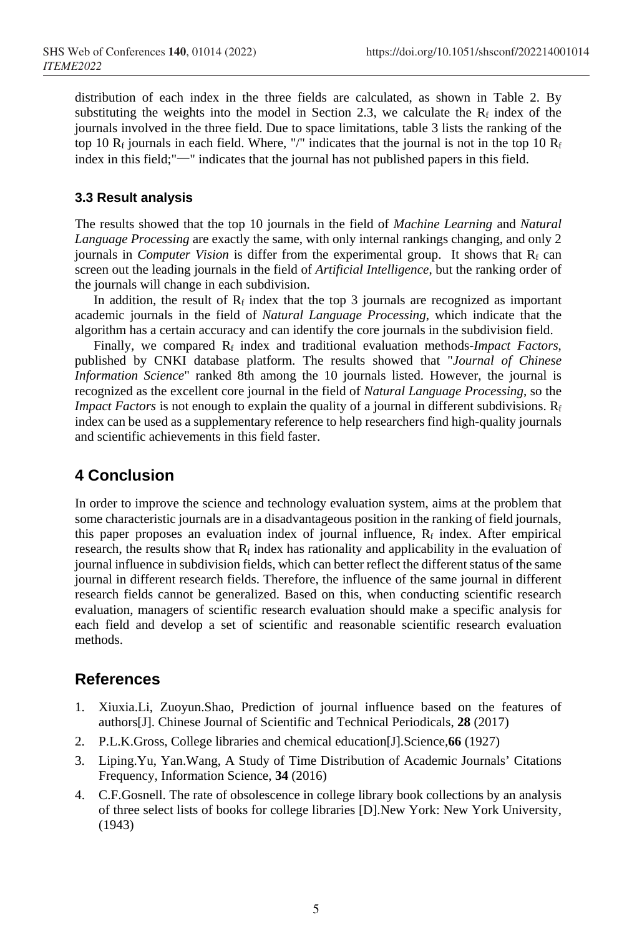distribution of each index in the three fields are calculated, as shown in Table 2. By substituting the weights into the model in Section 2.3, we calculate the  $R_f$  index of the journals involved in the three field. Due to space limitations, table 3 lists the ranking of the top 10  $R_f$  journals in each field. Where, "/" indicates that the journal is not in the top 10  $R_f$ index in this field;"—" indicates that the journal has not published papers in this field.

#### **3.3 Result analysis**

The results showed that the top 10 journals in the field of *Machine Learning* and *Natural Language Processing* are exactly the same, with only internal rankings changing, and only 2 journals in *Computer Vision* is differ from the experimental group. It shows that  $R_f$  can screen out the leading journals in the field of *Artificial Intelligence*, but the ranking order of the journals will change in each subdivision.

In addition, the result of  $R_f$  index that the top 3 journals are recognized as important academic journals in the field of *Natural Language Processing*, which indicate that the algorithm has a certain accuracy and can identify the core journals in the subdivision field.

Finally, we compared R<sub>f</sub> index and traditional evaluation methods-*Impact Factors*, published by CNKI database platform. The results showed that "*Journal of Chinese Information Science*" ranked 8th among the 10 journals listed. However, the journal is recognized as the excellent core journal in the field of *Natural Language Processing*, so the *Impact Factors* is not enough to explain the quality of a journal in different subdivisions.  $R_f$ index can be used as a supplementary reference to help researchers find high-quality journals and scientific achievements in this field faster.

## **4 Conclusion**

In order to improve the science and technology evaluation system, aims at the problem that some characteristic journals are in a disadvantageous position in the ranking of field journals, this paper proposes an evaluation index of journal influence,  $R_f$  index. After empirical research, the results show that  $R_f$  index has rationality and applicability in the evaluation of journal influence in subdivision fields, which can better reflect the different status of the same journal in different research fields. Therefore, the influence of the same journal in different research fields cannot be generalized. Based on this, when conducting scientific research evaluation, managers of scientific research evaluation should make a specific analysis for each field and develop a set of scientific and reasonable scientific research evaluation methods.

### **References**

- 1. Xiuxia.Li, Zuoyun.Shao, Prediction of journal influence based on the features of authors[J]. Chinese Journal of Scientific and Technical Periodicals, **28** (2017)
- 2. P.L.K.Gross, College libraries and chemical education[J].Science,**66** (1927)
- 3. Liping.Yu, Yan.Wang, A Study of Time Distribution of Academic Journals' Citations Frequency, Information Science, **34** (2016)
- 4. C.F.Gosnell. The rate of obsolescence in college library book collections by an analysis of three select lists of books for college libraries [D].New York: New York University, (1943)